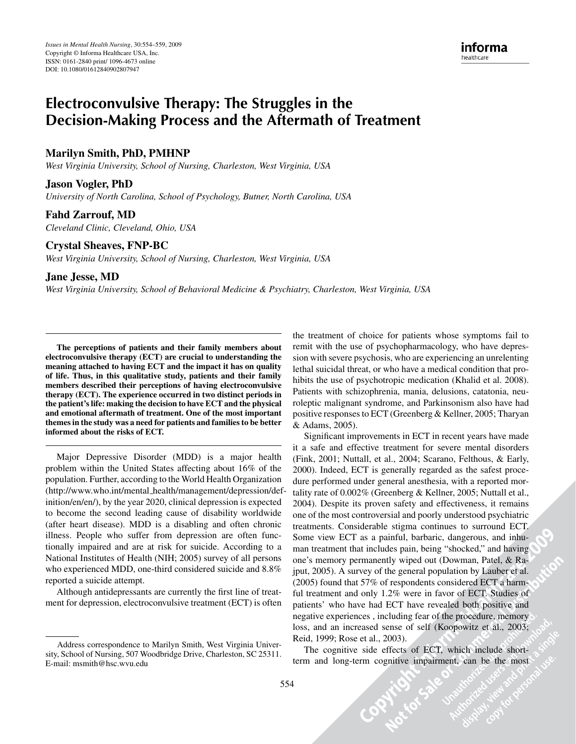# **Electroconvulsive Therapy: The Struggles in the Decision-Making Process and the Aftermath of Treatment**

# **Marilyn Smith, PhD, PMHNP**

*West Virginia University, School of Nursing, Charleston, West Virginia, USA*

# **Jason Vogler, PhD**

*University of North Carolina, School of Psychology, Butner, North Carolina, USA*

# **Fahd Zarrouf, MD**

*Cleveland Clinic, Cleveland, Ohio, USA*

# **Crystal Sheaves, FNP-BC**

*West Virginia University, School of Nursing, Charleston, West Virginia, USA*

# **Jane Jesse, MD**

*West Virginia University, School of Behavioral Medicine & Psychiatry, Charleston, West Virginia, USA*

**The perceptions of patients and their family members about electroconvulsive therapy (ECT) are crucial to understanding the meaning attached to having ECT and the impact it has on quality of life. Thus, in this qualitative study, patients and their family members described their perceptions of having electroconvulsive therapy (ECT). The experience occurred in two distinct periods in the patient's life: making the decision to have ECT and the physical and emotional aftermath of treatment. One of the most important themes in the study was a need for patients and families to be better informed about the risks of ECT.**

Major Depressive Disorder (MDD) is a major health problem within the United States affecting about 16% of the population. Further, according to the World Health Organization (http://www.who.int/mental\_health/management/depression/definition/en/en/), by the year 2020, clinical depression is expected to become the second leading cause of disability worldwide (after heart disease). MDD is a disabling and often chronic illness. People who suffer from depression are often functionally impaired and are at risk for suicide. According to a National Institutes of Health (NIH; 2005) survey of all persons who experienced MDD, one-third considered suicide and 8.8% reported a suicide attempt.

Although antidepressants are currently the first line of treatment for depression, electroconvulsive treatment (ECT) is often

the treatment of choice for patients whose symptoms fail to remit with the use of psychopharmacology, who have depression with severe psychosis, who are experiencing an unrelenting lethal suicidal threat, or who have a medical condition that prohibits the use of psychotropic medication (Khalid et al. 2008). Patients with schizophrenia, mania, delusions, catatonia, neuroleptic malignant syndrome, and Parkinsonism also have had positive responses to ECT (Greenberg & Kellner, 2005; Tharyan & Adams, 2005).

Significant improvements in ECT in recent years have made it a safe and effective treatment for severe mental disorders (Fink, 2001; Nuttall, et al., 2004; Scarano, Felthous, & Early, 2000). Indeed, ECT is generally regarded as the safest procedure performed under general anesthesia, with a reported mortality rate of 0.002% (Greenberg & Kellner, 2005; Nuttall et al., 2004). Despite its proven safety and effectiveness, it remains one of the most controversial and poorly understood psychiatric treatments. Considerable stigma continues to surround ECT. Some view ECT as a painful, barbaric, dangerous, and inhuman treatment that includes pain, being "shocked," and having one's memory permanently wiped out (Dowman, Patel, & Rajput, 2005). A survey of the general population by Lauber et al. (2005) found that 57% of respondents considered ECT a harmful treatment and only 1.2% were in favor of ECT. Studies of patients' who have had ECT have revealed both positive and negative experiences , including fear of the procedure, memory loss, and an increased sense of self (Koopowitz et al., 2003; Reid, 1999; Rose et al., 2003).

The cognitive side effects of ECT, which include shortterm and long-term cognitive impairment, can be the most

Address correspondence to Marilyn Smith, West Virginia University, School of Nursing, 507 Woodbridge Drive, Charleston, SC 25311. E-mail: msmith@hsc.wvu.edu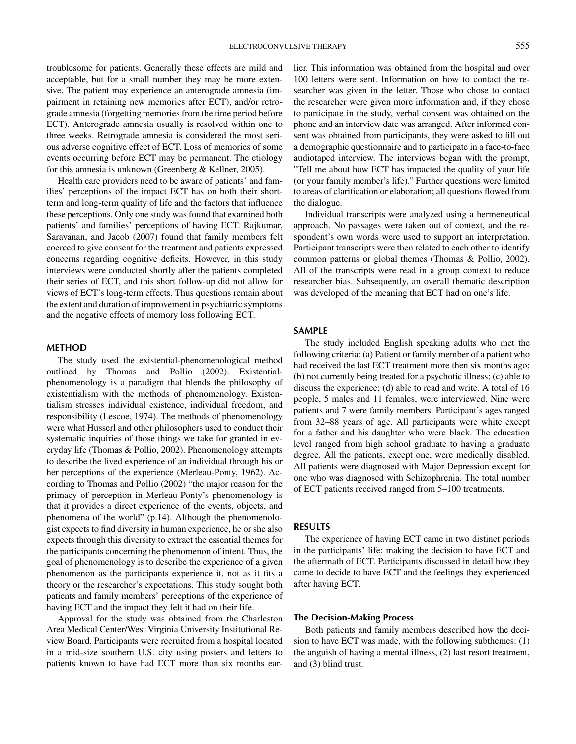troublesome for patients. Generally these effects are mild and acceptable, but for a small number they may be more extensive. The patient may experience an anterograde amnesia (impairment in retaining new memories after ECT), and/or retrograde amnesia (forgetting memories from the time period before ECT). Anterograde amnesia usually is resolved within one to three weeks. Retrograde amnesia is considered the most serious adverse cognitive effect of ECT. Loss of memories of some events occurring before ECT may be permanent. The etiology for this amnesia is unknown (Greenberg & Kellner, 2005).

Health care providers need to be aware of patients' and families' perceptions of the impact ECT has on both their shortterm and long-term quality of life and the factors that influence these perceptions. Only one study was found that examined both patients' and families' perceptions of having ECT. Rajkumar, Saravanan, and Jacob (2007) found that family members felt coerced to give consent for the treatment and patients expressed concerns regarding cognitive deficits. However, in this study interviews were conducted shortly after the patients completed their series of ECT, and this short follow-up did not allow for views of ECT's long-term effects. Thus questions remain about the extent and duration of improvement in psychiatric symptoms and the negative effects of memory loss following ECT.

#### **METHOD**

The study used the existential-phenomenological method outlined by Thomas and Pollio (2002). Existentialphenomenology is a paradigm that blends the philosophy of existentialism with the methods of phenomenology. Existentialism stresses individual existence, individual freedom, and responsibility (Lescoe, 1974). The methods of phenomenology were what Husserl and other philosophers used to conduct their systematic inquiries of those things we take for granted in everyday life (Thomas & Pollio, 2002). Phenomenology attempts to describe the lived experience of an individual through his or her perceptions of the experience (Merleau-Ponty, 1962). According to Thomas and Pollio (2002) "the major reason for the primacy of perception in Merleau-Ponty's phenomenology is that it provides a direct experience of the events, objects, and phenomena of the world" (p.14). Although the phenomenologist expects to find diversity in human experience, he or she also expects through this diversity to extract the essential themes for the participants concerning the phenomenon of intent. Thus, the goal of phenomenology is to describe the experience of a given phenomenon as the participants experience it, not as it fits a theory or the researcher's expectations. This study sought both patients and family members' perceptions of the experience of having ECT and the impact they felt it had on their life.

Approval for the study was obtained from the Charleston Area Medical Center/West Virginia University Institutional Review Board. Participants were recruited from a hospital located in a mid-size southern U.S. city using posters and letters to patients known to have had ECT more than six months earlier. This information was obtained from the hospital and over 100 letters were sent. Information on how to contact the researcher was given in the letter. Those who chose to contact the researcher were given more information and, if they chose to participate in the study, verbal consent was obtained on the phone and an interview date was arranged. After informed consent was obtained from participants, they were asked to fill out a demographic questionnaire and to participate in a face-to-face audiotaped interview. The interviews began with the prompt, "Tell me about how ECT has impacted the quality of your life (or your family member's life)." Further questions were limited to areas of clarification or elaboration; all questions flowed from the dialogue.

Individual transcripts were analyzed using a hermeneutical approach. No passages were taken out of context, and the respondent's own words were used to support an interpretation. Participant transcripts were then related to each other to identify common patterns or global themes (Thomas & Pollio, 2002). All of the transcripts were read in a group context to reduce researcher bias. Subsequently, an overall thematic description was developed of the meaning that ECT had on one's life.

# **SAMPLE**

The study included English speaking adults who met the following criteria: (a) Patient or family member of a patient who had received the last ECT treatment more then six months ago; (b) not currently being treated for a psychotic illness; (c) able to discuss the experience; (d) able to read and write. A total of 16 people, 5 males and 11 females, were interviewed. Nine were patients and 7 were family members. Participant's ages ranged from 32–88 years of age. All participants were white except for a father and his daughter who were black. The education level ranged from high school graduate to having a graduate degree. All the patients, except one, were medically disabled. All patients were diagnosed with Major Depression except for one who was diagnosed with Schizophrenia. The total number of ECT patients received ranged from 5–100 treatments.

# **RESULTS**

The experience of having ECT came in two distinct periods in the participants' life: making the decision to have ECT and the aftermath of ECT. Participants discussed in detail how they came to decide to have ECT and the feelings they experienced after having ECT.

#### **The Decision-Making Process**

Both patients and family members described how the decision to have ECT was made, with the following subthemes: (1) the anguish of having a mental illness, (2) last resort treatment, and (3) blind trust.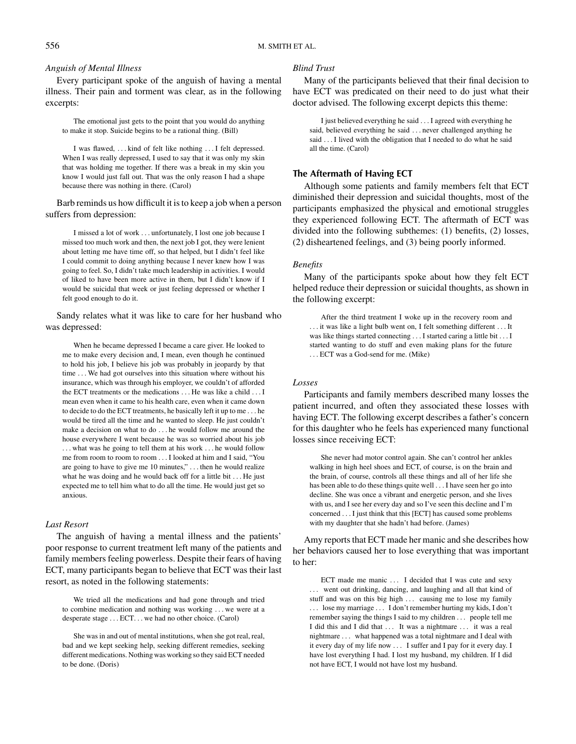### *Anguish of Mental Illness*

Every participant spoke of the anguish of having a mental illness. Their pain and torment was clear, as in the following excerpts:

The emotional just gets to the point that you would do anything to make it stop. Suicide begins to be a rational thing. (Bill)

I was flawed, . . . kind of felt like nothing . . . I felt depressed. When I was really depressed, I used to say that it was only my skin that was holding me together. If there was a break in my skin you know I would just fall out. That was the only reason I had a shape because there was nothing in there. (Carol)

Barb reminds us how difficult it is to keep a job when a person suffers from depression:

I missed a lot of work . . . unfortunately, I lost one job because I missed too much work and then, the next job I got, they were lenient about letting me have time off, so that helped, but I didn't feel like I could commit to doing anything because I never knew how I was going to feel. So, I didn't take much leadership in activities. I would of liked to have been more active in them, but I didn't know if I would be suicidal that week or just feeling depressed or whether I felt good enough to do it.

Sandy relates what it was like to care for her husband who was depressed:

When he became depressed I became a care giver. He looked to me to make every decision and, I mean, even though he continued to hold his job, I believe his job was probably in jeopardy by that time . . . We had got ourselves into this situation where without his insurance, which was through his employer, we couldn't of afforded the ECT treatments or the medications . . . He was like a child . . . I mean even when it came to his health care, even when it came down to decide to do the ECT treatments, he basically left it up to me . . . he would be tired all the time and he wanted to sleep. He just couldn't make a decision on what to do . . . he would follow me around the house everywhere I went because he was so worried about his job . . . what was he going to tell them at his work . . . he would follow me from room to room to room . . . I looked at him and I said, "You are going to have to give me 10 minutes," . . . then he would realize what he was doing and he would back off for a little bit . . . He just expected me to tell him what to do all the time. He would just get so anxious.

#### *Last Resort*

The anguish of having a mental illness and the patients' poor response to current treatment left many of the patients and family members feeling powerless. Despite their fears of having ECT, many participants began to believe that ECT was their last resort, as noted in the following statements:

We tried all the medications and had gone through and tried to combine medication and nothing was working . . . we were at a desperate stage . . . ECT. . . we had no other choice. (Carol)

She was in and out of mental institutions, when she got real, real, bad and we kept seeking help, seeking different remedies, seeking different medications. Nothing was working so they said ECT needed to be done. (Doris)

# *Blind Trust*

Many of the participants believed that their final decision to have ECT was predicated on their need to do just what their doctor advised. The following excerpt depicts this theme:

I just believed everything he said . . . I agreed with everything he said, believed everything he said . . . never challenged anything he said . . . I lived with the obligation that I needed to do what he said all the time. (Carol)

#### **The Aftermath of Having ECT**

Although some patients and family members felt that ECT diminished their depression and suicidal thoughts, most of the participants emphasized the physical and emotional struggles they experienced following ECT. The aftermath of ECT was divided into the following subthemes: (1) benefits, (2) losses, (2) disheartened feelings, and (3) being poorly informed.

#### *Benefits*

Many of the participants spoke about how they felt ECT helped reduce their depression or suicidal thoughts, as shown in the following excerpt:

After the third treatment I woke up in the recovery room and . . . it was like a light bulb went on, I felt something different . . . It was like things started connecting . . . I started caring a little bit . . . I started wanting to do stuff and even making plans for the future . . . ECT was a God-send for me. (Mike)

#### *Losses*

Participants and family members described many losses the patient incurred, and often they associated these losses with having ECT. The following excerpt describes a father's concern for this daughter who he feels has experienced many functional losses since receiving ECT:

She never had motor control again. She can't control her ankles walking in high heel shoes and ECT, of course, is on the brain and the brain, of course, controls all these things and all of her life she has been able to do these things quite well . . . I have seen her go into decline. She was once a vibrant and energetic person, and she lives with us, and I see her every day and so I've seen this decline and I'm concerned . . . I just think that this [ECT] has caused some problems with my daughter that she hadn't had before. (James)

Amy reports that ECT made her manic and she describes how her behaviors caused her to lose everything that was important to her:

ECT made me manic ... I decided that I was cute and sexy . . . went out drinking, dancing, and laughing and all that kind of stuff and was on this big high ... causing me to lose my family . . . lose my marriage . . . I don't remember hurting my kids, I don't remember saying the things I said to my children . . . people tell me I did this and I did that ... It was a nightmare ... it was a real nightmare . . . what happened was a total nightmare and I deal with it every day of my life now . . . I suffer and I pay for it every day. I have lost everything I had. I lost my husband, my children. If I did not have ECT, I would not have lost my husband.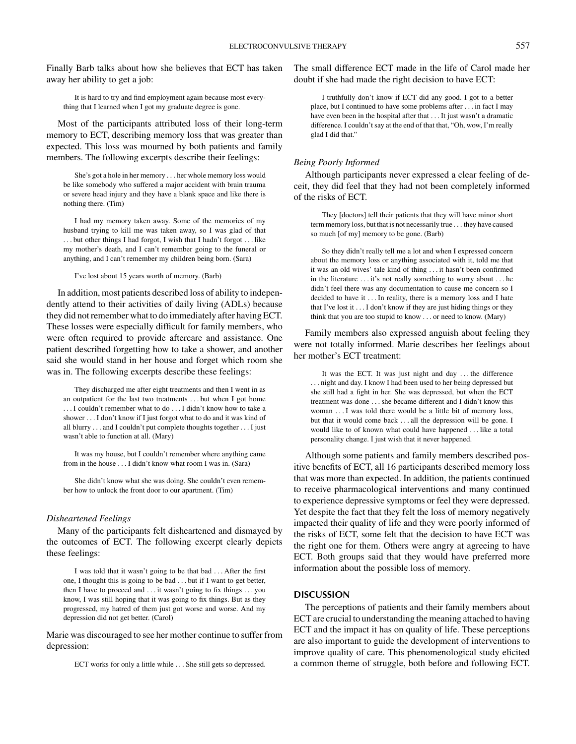Finally Barb talks about how she believes that ECT has taken away her ability to get a job:

It is hard to try and find employment again because most everything that I learned when I got my graduate degree is gone.

Most of the participants attributed loss of their long-term memory to ECT, describing memory loss that was greater than expected. This loss was mourned by both patients and family members. The following excerpts describe their feelings:

She's got a hole in her memory . . . her whole memory loss would be like somebody who suffered a major accident with brain trauma or severe head injury and they have a blank space and like there is nothing there. (Tim)

I had my memory taken away. Some of the memories of my husband trying to kill me was taken away, so I was glad of that . . . but other things I had forgot, I wish that I hadn't forgot . . . like my mother's death, and I can't remember going to the funeral or anything, and I can't remember my children being born. (Sara)

I've lost about 15 years worth of memory. (Barb)

In addition, most patients described loss of ability to independently attend to their activities of daily living (ADLs) because they did not remember what to do immediately after having ECT. These losses were especially difficult for family members, who were often required to provide aftercare and assistance. One patient described forgetting how to take a shower, and another said she would stand in her house and forget which room she was in. The following excerpts describe these feelings:

They discharged me after eight treatments and then I went in as an outpatient for the last two treatments . . . but when I got home . . . I couldn't remember what to do . . . I didn't know how to take a shower . . . I don't know if I just forgot what to do and it was kind of all blurry . . . and I couldn't put complete thoughts together . . . I just wasn't able to function at all. (Mary)

It was my house, but I couldn't remember where anything came from in the house . . . I didn't know what room I was in. (Sara)

She didn't know what she was doing. She couldn't even remember how to unlock the front door to our apartment. (Tim)

#### *Disheartened Feelings*

Many of the participants felt disheartened and dismayed by the outcomes of ECT. The following excerpt clearly depicts these feelings:

I was told that it wasn't going to be that bad . . . After the first one, I thought this is going to be bad . . . but if I want to get better, then I have to proceed and . . . it wasn't going to fix things . . . you know, I was still hoping that it was going to fix things. But as they progressed, my hatred of them just got worse and worse. And my depression did not get better. (Carol)

Marie was discouraged to see her mother continue to suffer from depression:

ECT works for only a little while . . . She still gets so depressed.

The small difference ECT made in the life of Carol made her doubt if she had made the right decision to have ECT:

I truthfully don't know if ECT did any good. I got to a better place, but I continued to have some problems after . . . in fact I may have even been in the hospital after that . . . It just wasn't a dramatic difference. I couldn't say at the end of that that, "Oh, wow, I'm really glad I did that."

#### *Being Poorly Informed*

Although participants never expressed a clear feeling of deceit, they did feel that they had not been completely informed of the risks of ECT.

They [doctors] tell their patients that they will have minor short term memory loss, but that is not necessarily true . . . they have caused so much [of my] memory to be gone. (Barb)

So they didn't really tell me a lot and when I expressed concern about the memory loss or anything associated with it, told me that it was an old wives' tale kind of thing . . . it hasn't been confirmed in the literature . . . it's not really something to worry about . . . he didn't feel there was any documentation to cause me concern so I decided to have it . . . In reality, there is a memory loss and I hate that I've lost it . . . I don't know if they are just hiding things or they think that you are too stupid to know . . . or need to know. (Mary)

Family members also expressed anguish about feeling they were not totally informed. Marie describes her feelings about her mother's ECT treatment:

It was the ECT. It was just night and day . . . the difference . . . night and day. I know I had been used to her being depressed but she still had a fight in her. She was depressed, but when the ECT treatment was done . . . she became different and I didn't know this woman . . . I was told there would be a little bit of memory loss, but that it would come back . . . all the depression will be gone. I would like to of known what could have happened . . . like a total personality change. I just wish that it never happened.

Although some patients and family members described positive benefits of ECT, all 16 participants described memory loss that was more than expected. In addition, the patients continued to receive pharmacological interventions and many continued to experience depressive symptoms or feel they were depressed. Yet despite the fact that they felt the loss of memory negatively impacted their quality of life and they were poorly informed of the risks of ECT, some felt that the decision to have ECT was the right one for them. Others were angry at agreeing to have ECT. Both groups said that they would have preferred more information about the possible loss of memory.

### **DISCUSSION**

The perceptions of patients and their family members about ECT are crucial to understanding the meaning attached to having ECT and the impact it has on quality of life. These perceptions are also important to guide the development of interventions to improve quality of care. This phenomenological study elicited a common theme of struggle, both before and following ECT.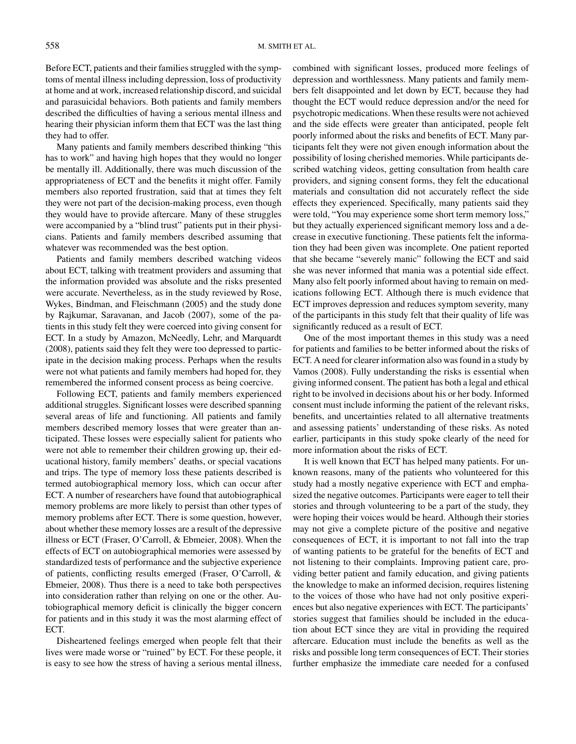Before ECT, patients and their families struggled with the symptoms of mental illness including depression, loss of productivity at home and at work, increased relationship discord, and suicidal and parasuicidal behaviors. Both patients and family members described the difficulties of having a serious mental illness and hearing their physician inform them that ECT was the last thing they had to offer.

Many patients and family members described thinking "this has to work" and having high hopes that they would no longer be mentally ill. Additionally, there was much discussion of the appropriateness of ECT and the benefits it might offer. Family members also reported frustration, said that at times they felt they were not part of the decision-making process, even though they would have to provide aftercare. Many of these struggles were accompanied by a "blind trust" patients put in their physicians. Patients and family members described assuming that whatever was recommended was the best option.

Patients and family members described watching videos about ECT, talking with treatment providers and assuming that the information provided was absolute and the risks presented were accurate. Nevertheless, as in the study reviewed by Rose, Wykes, Bindman, and Fleischmann (2005) and the study done by Rajkumar, Saravanan, and Jacob (2007), some of the patients in this study felt they were coerced into giving consent for ECT. In a study by Amazon, McNeedly, Lehr, and Marquardt (2008), patients said they felt they were too depressed to participate in the decision making process. Perhaps when the results were not what patients and family members had hoped for, they remembered the informed consent process as being coercive.

Following ECT, patients and family members experienced additional struggles. Significant losses were described spanning several areas of life and functioning. All patients and family members described memory losses that were greater than anticipated. These losses were especially salient for patients who were not able to remember their children growing up, their educational history, family members' deaths, or special vacations and trips. The type of memory loss these patients described is termed autobiographical memory loss, which can occur after ECT. A number of researchers have found that autobiographical memory problems are more likely to persist than other types of memory problems after ECT. There is some question, however, about whether these memory losses are a result of the depressive illness or ECT (Fraser, O'Carroll, & Ebmeier, 2008). When the effects of ECT on autobiographical memories were assessed by standardized tests of performance and the subjective experience of patients, conflicting results emerged (Fraser, O'Carroll, & Ebmeier, 2008). Thus there is a need to take both perspectives into consideration rather than relying on one or the other. Autobiographical memory deficit is clinically the bigger concern for patients and in this study it was the most alarming effect of ECT.

Disheartened feelings emerged when people felt that their lives were made worse or "ruined" by ECT. For these people, it is easy to see how the stress of having a serious mental illness,

combined with significant losses, produced more feelings of depression and worthlessness. Many patients and family members felt disappointed and let down by ECT, because they had thought the ECT would reduce depression and/or the need for psychotropic medications. When these results were not achieved and the side effects were greater than anticipated, people felt poorly informed about the risks and benefits of ECT. Many participants felt they were not given enough information about the possibility of losing cherished memories. While participants described watching videos, getting consultation from health care providers, and signing consent forms, they felt the educational materials and consultation did not accurately reflect the side effects they experienced. Specifically, many patients said they were told, "You may experience some short term memory loss," but they actually experienced significant memory loss and a decrease in executive functioning. These patients felt the information they had been given was incomplete. One patient reported that she became "severely manic" following the ECT and said she was never informed that mania was a potential side effect. Many also felt poorly informed about having to remain on medications following ECT. Although there is much evidence that ECT improves depression and reduces symptom severity, many of the participants in this study felt that their quality of life was significantly reduced as a result of ECT.

One of the most important themes in this study was a need for patients and families to be better informed about the risks of ECT. A need for clearer information also was found in a study by Vamos (2008). Fully understanding the risks is essential when giving informed consent. The patient has both a legal and ethical right to be involved in decisions about his or her body. Informed consent must include informing the patient of the relevant risks, benefits, and uncertainties related to all alternative treatments and assessing patients' understanding of these risks. As noted earlier, participants in this study spoke clearly of the need for more information about the risks of ECT.

It is well known that ECT has helped many patients. For unknown reasons, many of the patients who volunteered for this study had a mostly negative experience with ECT and emphasized the negative outcomes. Participants were eager to tell their stories and through volunteering to be a part of the study, they were hoping their voices would be heard. Although their stories may not give a complete picture of the positive and negative consequences of ECT, it is important to not fall into the trap of wanting patients to be grateful for the benefits of ECT and not listening to their complaints. Improving patient care, providing better patient and family education, and giving patients the knowledge to make an informed decision, requires listening to the voices of those who have had not only positive experiences but also negative experiences with ECT. The participants' stories suggest that families should be included in the education about ECT since they are vital in providing the required aftercare. Education must include the benefits as well as the risks and possible long term consequences of ECT. Their stories further emphasize the immediate care needed for a confused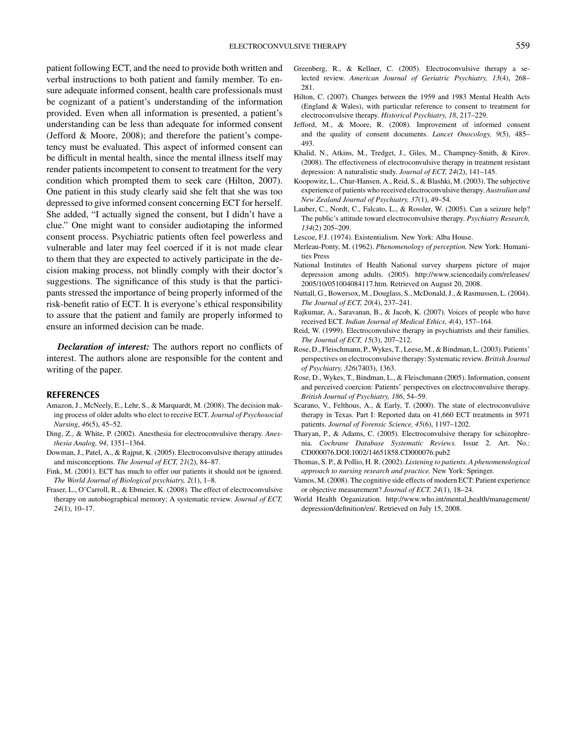patient following ECT, and the need to provide both written and verbal instructions to both patient and family member. To ensure adequate informed consent, health care professionals must be cognizant of a patient's understanding of the information provided. Even when all information is presented, a patient's understanding can be less than adequate for informed consent (Jefford & Moore, 2008); and therefore the patient's competency must be evaluated. This aspect of informed consent can be difficult in mental health, since the mental illness itself may render patients incompetent to consent to treatment for the very condition which prompted them to seek care (Hilton, 2007). One patient in this study clearly said she felt that she was too depressed to give informed consent concerning ECT for herself. She added, "I actually signed the consent, but I didn't have a clue." One might want to consider audiotaping the informed consent process. Psychiatric patients often feel powerless and vulnerable and later may feel coerced if it is not made clear to them that they are expected to actively participate in the decision making process, not blindly comply with their doctor's suggestions. The significance of this study is that the participants stressed the importance of being properly informed of the risk-benefit ratio of ECT. It is everyone's ethical responsibility to assure that the patient and family are properly informed to ensure an informed decision can be made.

*Declaration of interest:* The authors report no conflicts of interest. The authors alone are responsible for the content and writing of the paper.

#### **REFERENCES**

- Amazon, J., McNeely, E., Lehr, S., & Marquardt, M. (2008). The decision making process of older adults who elect to receive ECT. *Journal of Psychosocial Nursing*, *46*(5), 45–52.
- Ding, Z., & White, P. (2002). Anesthesia for electroconvulsive therapy. *Anesthesia Analog, 94*, 1351–1364.
- Dowman, J., Patel, A., & Rajput, K. (2005). Electroconvulsive therapy attitudes and misconceptions. *The Journal of ECT, 21*(2), 84–87.
- Fink, M. (2001). ECT has much to offer our patients it should not be ignored. *The World Journal of Biological psychiatry, 2*(1), 1–8.
- Fraser, L., O'Carroll, R., & Ebmeier, K. (2008). The effect of electroconvulsive therapy on autobiographical memory: A systematic review. *Journal of ECT, 24*(1), 10–17.
- Greenberg, R., & Kellner, C. (2005). Electroconvulsive therapy a selected review. *American Journal of Geriatric Psychiatry, 13*(4), 268– 281.
- Hilton, C. (2007). Changes between the 1959 and 1983 Mental Health Acts (England & Wales), with particular reference to consent to treatment for electroconvulsive therapy. *Historical Psychiatry, 18*, 217–229.
- Jefford, M., & Moore, R. (2008). Improvement of informed consent and the quality of consent documents. *Lancet Onocology, 9*(5), 485– 493.
- Khalid, N., Atkins, M., Tredget, J., Giles, M., Champney-Smith, & Kirov. (2008). The effectiveness of electroconvulsive therapy in treatment resistant depression: A naturalistic study. *Journal of ECT, 24*(2), 141–145.
- Koopowitz, L., Chur-Hansen, A., Reid, S., & Blashki, M. (2003). The subjective experience of patients who received electroconvulsive therapy. *Australian and New Zealand Journal of Psychiatry, 37*(1), 49–54.
- Lauber, C., Nordt, C., Falcato, L., & Rossler, W. (2005). Can a seizure help? The public's attitude toward electroconvulsive therapy. *Psychiatry Research, 134*(2) 205–209.
- Lescoe, F.J. (1974). Existentialism. New York: Alba House.
- Merleau-Ponty, M. (1962). *Phenomenology of perception.* New York: Humanities Press
- National Institutes of Health National survey sharpens picture of major depression among adults. (2005). http://www.sciencedaily.com/releases/ 2005/10/051004084117.htm. Retrieved on August 20, 2008.
- Nuttall, G., Bowersox, M., Douglass, S., McDonald, J., & Rasmussen, L. (2004). *The Journal of ECT, 20*(4), 237–241.
- Rajkumar, A., Saravanan, B., & Jacob, K. (2007). Voices of people who have received ECT. *Indian Journal of Medical Ethics, 4*(4), 157–164.
- Reid, W. (1999). Electroconvulsive therapy in psychiatrists and their families. *The Journal of ECT, 15*(3), 207–212.
- Rose, D., Fleischmann, P., Wykes, T., Leese, M., & Bindman, L. (2003). Patients' perspectives on electroconvulsive therapy: Systematic review. *British Journal of Psychiatry, 326*(7403), 1363.
- Rose, D., Wykes, T., Bindman, L., & Fleischmann (2005). Information, consent and perceived coercion: Patients' perspectives on electroconvulsive therapy. *British Journal of Psychiatry, 186*, 54–59.
- Scarano, V., Felthous, A., & Early, T. (2000). The state of electroconvulsive therapy in Texas. Part I: Reported data on 41,660 ECT treatments in 5971 patients. *Journal of Forensic Science, 45*(6), 1197–1202.
- Tharyan, P., & Adams, C. (2005). Electroconvulsive therapy for schizophrenia. *Cochrane Database Systematic Reviews.* Issue 2. Art. No.: CD000076.DOI:1002/14651858.CD000076.pub2
- Thomas, S. P., & Pollio, H. R. (2002). *Listening to patients. A phenomenological approach to nursing research and practice.* New York: Springer.
- Vamos, M. (2008). The cognitive side effects of modern ECT: Patient experience or objective measurement? *Journal of ECT, 24*(1), 18–24.
- World Health Organization. http://www.who.int/mental\_health/management/ depression/definition/en/. Retrieved on July 15, 2008.